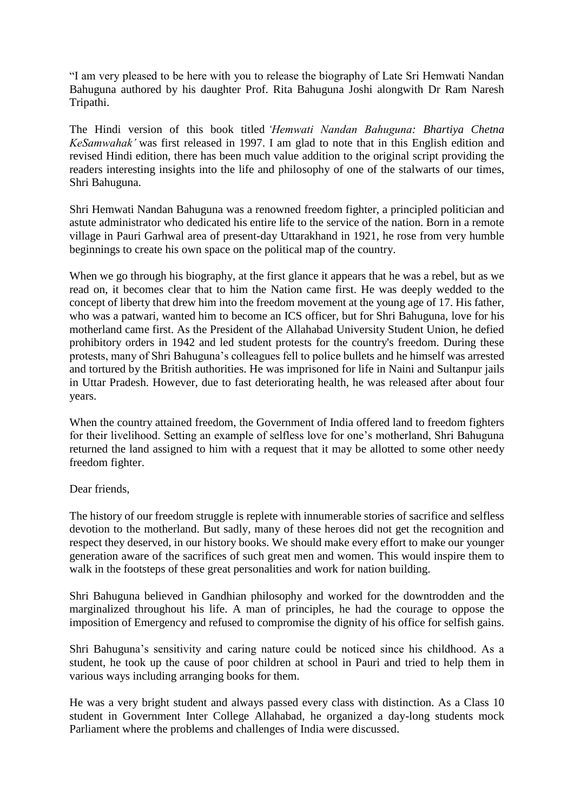"I am very pleased to be here with you to release the biography of Late Sri Hemwati Nandan Bahuguna authored by his daughter Prof. Rita Bahuguna Joshi alongwith Dr Ram Naresh Tripathi.

The Hindi version of this book titled *'Hemwati Nandan Bahuguna: Bhartiya Chetna KeSamwahak'* was first released in 1997. I am glad to note that in this English edition and revised Hindi edition, there has been much value addition to the original script providing the readers interesting insights into the life and philosophy of one of the stalwarts of our times, Shri Bahuguna.

Shri Hemwati Nandan Bahuguna was a renowned freedom fighter, a principled politician and astute administrator who dedicated his entire life to the service of the nation. Born in a remote village in Pauri Garhwal area of present-day Uttarakhand in 1921, he rose from very humble beginnings to create his own space on the political map of the country.

When we go through his biography, at the first glance it appears that he was a rebel, but as we read on, it becomes clear that to him the Nation came first. He was deeply wedded to the concept of liberty that drew him into the freedom movement at the young age of 17. His father, who was a patwari, wanted him to become an ICS officer, but for Shri Bahuguna, love for his motherland came first. As the President of the Allahabad University Student Union, he defied prohibitory orders in 1942 and led student protests for the country's freedom. During these protests, many of Shri Bahuguna's colleagues fell to police bullets and he himself was arrested and tortured by the British authorities. He was imprisoned for life in Naini and Sultanpur jails in Uttar Pradesh. However, due to fast deteriorating health, he was released after about four years.

When the country attained freedom, the Government of India offered land to freedom fighters for their livelihood. Setting an example of selfless love for one's motherland, Shri Bahuguna returned the land assigned to him with a request that it may be allotted to some other needy freedom fighter.

## Dear friends,

The history of our freedom struggle is replete with innumerable stories of sacrifice and selfless devotion to the motherland. But sadly, many of these heroes did not get the recognition and respect they deserved, in our history books. We should make every effort to make our younger generation aware of the sacrifices of such great men and women. This would inspire them to walk in the footsteps of these great personalities and work for nation building.

Shri Bahuguna believed in Gandhian philosophy and worked for the downtrodden and the marginalized throughout his life. A man of principles, he had the courage to oppose the imposition of Emergency and refused to compromise the dignity of his office for selfish gains.

Shri Bahuguna's sensitivity and caring nature could be noticed since his childhood. As a student, he took up the cause of poor children at school in Pauri and tried to help them in various ways including arranging books for them.

He was a very bright student and always passed every class with distinction. As a Class 10 student in Government Inter College Allahabad, he organized a day-long students mock Parliament where the problems and challenges of India were discussed.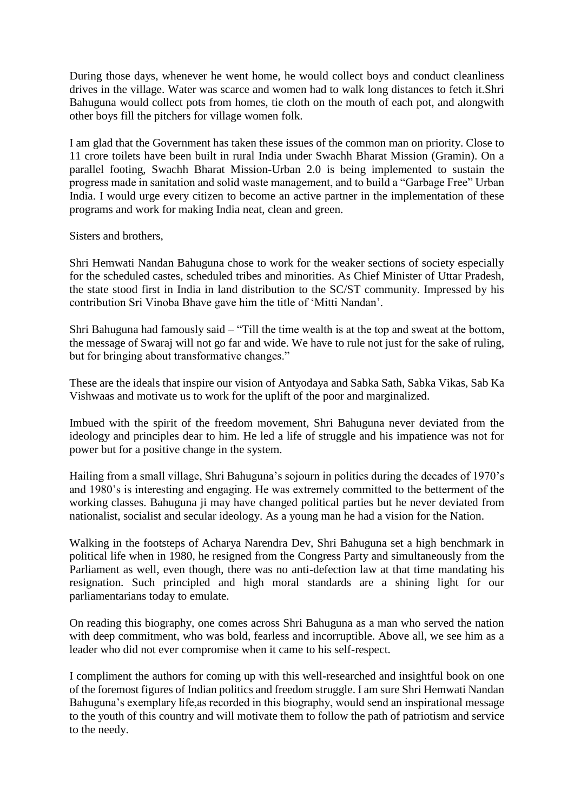During those days, whenever he went home, he would collect boys and conduct cleanliness drives in the village. Water was scarce and women had to walk long distances to fetch it.Shri Bahuguna would collect pots from homes, tie cloth on the mouth of each pot, and alongwith other boys fill the pitchers for village women folk.

I am glad that the Government has taken these issues of the common man on priority. Close to 11 crore toilets have been built in rural India under Swachh Bharat Mission (Gramin). On a parallel footing, Swachh Bharat Mission-Urban 2.0 is being implemented to sustain the progress made in sanitation and solid waste management, and to build a "Garbage Free" Urban India. I would urge every citizen to become an active partner in the implementation of these programs and work for making India neat, clean and green.

Sisters and brothers,

Shri Hemwati Nandan Bahuguna chose to work for the weaker sections of society especially for the scheduled castes, scheduled tribes and minorities. As Chief Minister of Uttar Pradesh, the state stood first in India in land distribution to the SC/ST community. Impressed by his contribution Sri Vinoba Bhave gave him the title of 'Mitti Nandan'.

Shri Bahuguna had famously said – "Till the time wealth is at the top and sweat at the bottom, the message of Swaraj will not go far and wide. We have to rule not just for the sake of ruling, but for bringing about transformative changes."

These are the ideals that inspire our vision of Antyodaya and Sabka Sath, Sabka Vikas, Sab Ka Vishwaas and motivate us to work for the uplift of the poor and marginalized.

Imbued with the spirit of the freedom movement, Shri Bahuguna never deviated from the ideology and principles dear to him. He led a life of struggle and his impatience was not for power but for a positive change in the system.

Hailing from a small village, Shri Bahuguna's sojourn in politics during the decades of 1970's and 1980's is interesting and engaging. He was extremely committed to the betterment of the working classes. Bahuguna ji may have changed political parties but he never deviated from nationalist, socialist and secular ideology. As a young man he had a vision for the Nation.

Walking in the footsteps of Acharya Narendra Dev, Shri Bahuguna set a high benchmark in political life when in 1980, he resigned from the Congress Party and simultaneously from the Parliament as well, even though, there was no anti-defection law at that time mandating his resignation. Such principled and high moral standards are a shining light for our parliamentarians today to emulate.

On reading this biography, one comes across Shri Bahuguna as a man who served the nation with deep commitment, who was bold, fearless and incorruptible. Above all, we see him as a leader who did not ever compromise when it came to his self-respect.

I compliment the authors for coming up with this well-researched and insightful book on one of the foremost figures of Indian politics and freedom struggle. I am sure Shri Hemwati Nandan Bahuguna's exemplary life,as recorded in this biography, would send an inspirational message to the youth of this country and will motivate them to follow the path of patriotism and service to the needy.